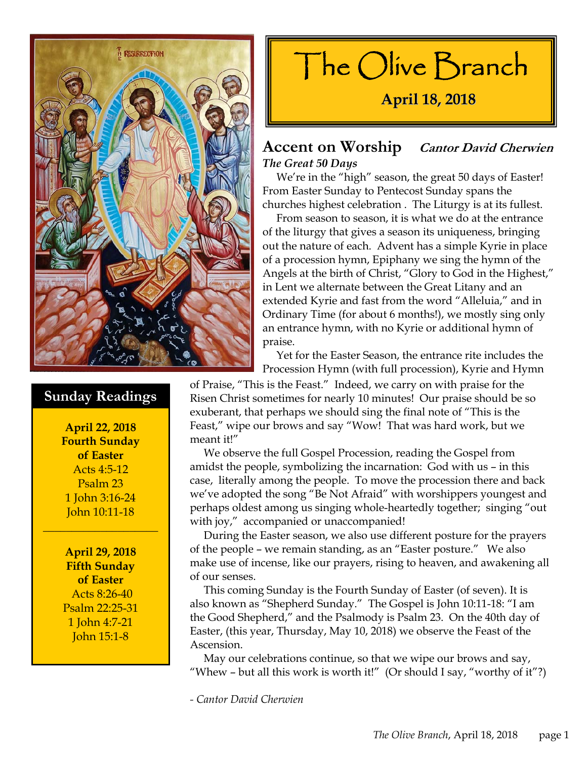

### **Sunday Readings**

**April 22, 2018 Fourth Sunday of Easter**  Acts 4:5-12 Psalm 23 1 John 3:16-24 John 10:11-18

\_\_\_\_\_\_\_\_\_\_\_\_\_\_\_\_\_\_\_\_

**April 29, 2018 Fifth Sunday of Easter**  Acts 8:26-40 Psalm 22:25-31 1 John 4:7-21 John 15:1-8



### **Accent on Worship Cantor David Cherwien** *The Great 50 Days*

 We're in the "high" season, the great 50 days of Easter! From Easter Sunday to Pentecost Sunday spans the churches highest celebration . The Liturgy is at its fullest.

 From season to season, it is what we do at the entrance of the liturgy that gives a season its uniqueness, bringing out the nature of each. Advent has a simple Kyrie in place of a procession hymn, Epiphany we sing the hymn of the Angels at the birth of Christ, "Glory to God in the Highest," in Lent we alternate between the Great Litany and an extended Kyrie and fast from the word "Alleluia," and in Ordinary Time (for about 6 months!), we mostly sing only an entrance hymn, with no Kyrie or additional hymn of praise.

 Yet for the Easter Season, the entrance rite includes the Procession Hymn (with full procession), Kyrie and Hymn

of Praise, "This is the Feast." Indeed, we carry on with praise for the Risen Christ sometimes for nearly 10 minutes! Our praise should be so exuberant, that perhaps we should sing the final note of "This is the Feast," wipe our brows and say "Wow! That was hard work, but we meant it!"

 We observe the full Gospel Procession, reading the Gospel from amidst the people, symbolizing the incarnation: God with us – in this case, literally among the people. To move the procession there and back we've adopted the song "Be Not Afraid" with worshippers youngest and perhaps oldest among us singing whole-heartedly together; singing "out with joy," accompanied or unaccompanied!

 During the Easter season, we also use different posture for the prayers of the people – we remain standing, as an "Easter posture." We also make use of incense, like our prayers, rising to heaven, and awakening all of our senses.

 This coming Sunday is the Fourth Sunday of Easter (of seven). It is also known as "Shepherd Sunday." The Gospel is John 10:11-18: "I am the Good Shepherd," and the Psalmody is Psalm 23. On the 40th day of Easter, (this year, Thursday, May 10, 2018) we observe the Feast of the Ascension.

 May our celebrations continue, so that we wipe our brows and say, "Whew - but all this work is worth it!" (Or should I say, "worthy of it"?)

*- Cantor David Cherwien*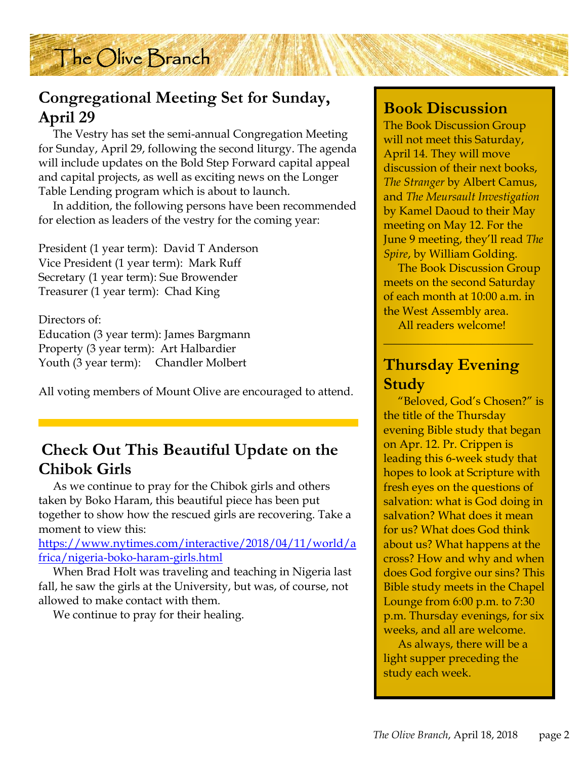

# **Congregational Meeting Set for Sunday, April 29**

 The Vestry has set the semi-annual Congregation Meeting for Sunday, April 29, following the second liturgy. The agenda will include updates on the Bold Step Forward capital appeal and capital projects, as well as exciting news on the Longer Table Lending program which is about to launch.

 In addition, the following persons have been recommended for election as leaders of the vestry for the coming year:

President (1 year term): David T Anderson Vice President (1 year term): Mark Ruff Secretary (1 year term): Sue Browender Treasurer (1 year term): Chad King

Directors of: Education (3 year term): James Bargmann Property (3 year term): Art Halbardier Youth (3 year term): Chandler Molbert

All voting members of Mount Olive are encouraged to attend.

## **Check Out This Beautiful Update on the Chibok Girls**

 As we continue to pray for the Chibok girls and others taken by Boko Haram, this beautiful piece has been put together to show how the rescued girls are recovering. Take a moment to view this:

https://www.nytimes.com/interactive/2018/04/11/world/a frica/nigeria-boko-haram-girls.html

 When Brad Holt was traveling and teaching in Nigeria last fall, he saw the girls at the University, but was, of course, not allowed to make contact with them.

We continue to pray for their healing.

### **Book Discussion**

The Book Discussion Group will not meet this Saturday, April 14. They will move discussion of their next books, *The Stranger* by Albert Camus, and *The Meursault Investigation* by Kamel Daoud to their May meeting on May 12. For the June 9 meeting, they'll read *The Spire*, by William Golding.

 The Book Discussion Group meets on the second Saturday of each month at 10:00 a.m. in the West Assembly area.

All readers welcome!

\_\_\_\_\_\_\_\_\_\_\_\_\_\_\_\_\_\_\_\_\_\_\_\_\_\_

# **Thursday Evening Study**

 "Beloved, God's Chosen?" is the title of the Thursday evening Bible study that began on Apr. 12. Pr. Crippen is leading this 6-week study that hopes to look at Scripture with fresh eyes on the questions of salvation: what is God doing in salvation? What does it mean for us? What does God think about us? What happens at the cross? How and why and when does God forgive our sins? This Bible study meets in the Chapel Lounge from 6:00 p.m. to 7:30 p.m. Thursday evenings, for six weeks, and all are welcome.

 As always, there will be a light supper preceding the study each week.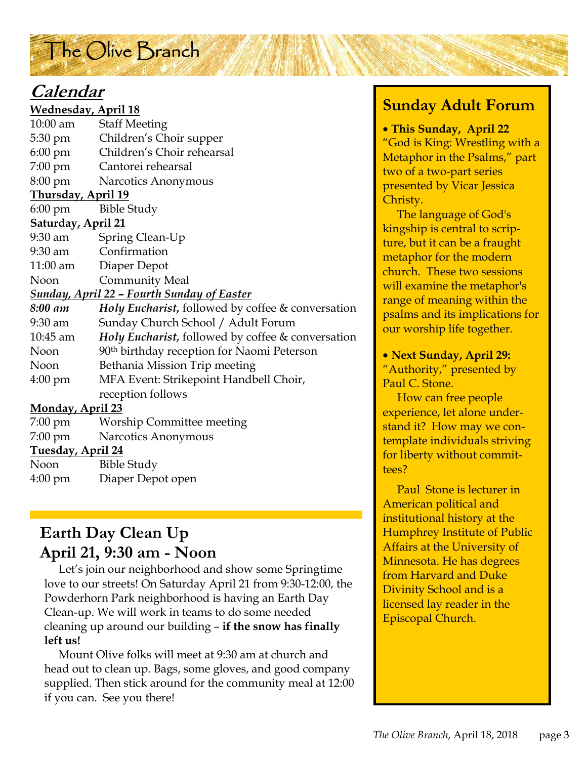# The Olive Branch

# **Calendar**

| <b>Wednesday, April 18</b>                        |                                                              |  |
|---------------------------------------------------|--------------------------------------------------------------|--|
| $10:00$ am                                        | <b>Staff Meeting</b>                                         |  |
| 5:30 pm                                           | Children's Choir supper                                      |  |
| $6:00 \text{ pm}$                                 | Children's Choir rehearsal                                   |  |
| $7:00 \text{ pm}$                                 | Cantorei rehearsal                                           |  |
| $8:00 \text{ pm}$                                 | Narcotics Anonymous                                          |  |
| <u>Thursday, April 19</u>                         |                                                              |  |
| 6:00 pm                                           | <b>Bible Study</b>                                           |  |
| <u>Saturday, April 21</u>                         |                                                              |  |
| 9:30 am                                           | Spring Clean-Up                                              |  |
| $9:30$ am                                         | Confirmation                                                 |  |
| $11:00$ am                                        | Diaper Depot                                                 |  |
| <b>Noon</b>                                       | Community Meal                                               |  |
| <b>Sunday, April 22 - Fourth Sunday of Easter</b> |                                                              |  |
| 8:00 am                                           | <b>Holy Eucharist, followed by coffee &amp; conversation</b> |  |
| $9:30$ am                                         | Sunday Church School / Adult Forum                           |  |
| 10:45 am                                          | Holy Eucharist, followed by coffee & conversation            |  |
| Noon                                              | 90 <sup>th</sup> birthday reception for Naomi Peterson       |  |
| Noon                                              | Bethania Mission Trip meeting                                |  |
| $4:00 \text{ pm}$                                 | MFA Event: Strikepoint Handbell Choir,                       |  |
|                                                   | reception follows                                            |  |
| <b>Monday, April 23</b>                           |                                                              |  |
| 7:00 pm                                           | <b>Worship Committee meeting</b>                             |  |
| 7:00 pm                                           | Narcotics Anonymous                                          |  |
| <b>Tuesday, April 24</b>                          |                                                              |  |
| $N_{\alpha\alpha}$                                | $\rm Rihlo$ $\rm Cholov$                                     |  |

| Noon    | <b>Bible Study</b> |
|---------|--------------------|
| 4:00 pm | Diaper Depot open  |

# **Earth Day Clean Up April 21, 9:30 am - Noon**

 Let's join our neighborhood and show some Springtime love to our streets! On Saturday April 21 from 9:30-12:00, the Powderhorn Park neighborhood is having an Earth Day Clean-up. We will work in teams to do some needed cleaning up around our building – **if the snow has finally left us!** 

 Mount Olive folks will meet at 9:30 am at church and head out to clean up. Bags, some gloves, and good company supplied. Then stick around for the community meal at 12:00 if you can. See you there!

# **Sunday Adult Forum**

• **This Sunday, April 22** "God is King: Wrestling with a Metaphor in the Psalms," part two of a two-part series presented by Vicar Jessica Christy.

 The language of God's kingship is central to scripture, but it can be a fraught metaphor for the modern church. These two sessions will examine the metaphor's range of meaning within the psalms and its implications for our worship life together.

• **Next Sunday, April 29:** 

"Authority," presented by Paul C. Stone.

 How can free people experience, let alone understand it? How may we contemplate individuals striving for liberty without committees?

 Paul Stone is lecturer in American political and institutional history at the Humphrey Institute of Public Affairs at the University of Minnesota. He has degrees from Harvard and Duke Divinity School and is a licensed lay reader in the Episcopal Church.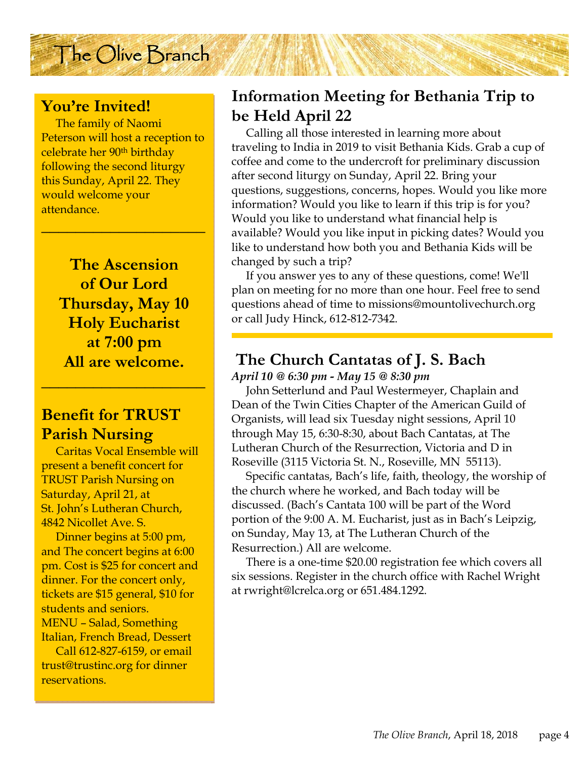### **You're Invited!**

 The family of Naomi Peterson will host a reception to celebrate her 90th birthday following the second liturgy this Sunday, April 22. They would welcome your attendance.

**\_\_\_\_\_\_\_\_\_\_\_\_\_\_\_\_\_\_\_** 

The Olive Branch

**The Ascension of Our Lord Thursday, May 10 Holy Eucharist at 7:00 pm All are welcome.** 

**\_\_\_\_\_\_\_\_\_\_\_\_\_\_\_\_\_\_\_** 

### **Benefit for TRUST Parish Nursing**

 Caritas Vocal Ensemble will present a benefit concert for TRUST Parish Nursing on Saturday, April 21, at St. John's Lutheran Church, 4842 Nicollet Ave. S.

 Dinner begins at 5:00 pm, and The concert begins at 6:00 pm. Cost is \$25 for concert and dinner. For the concert only, tickets are \$15 general, \$10 for students and seniors. MENU – Salad, Something Italian, French Bread, Dessert

 Call 612-827-6159, or email trust@trustinc.org for dinner reservations.

## **Information Meeting for Bethania Trip to be Held April 22**

 Calling all those interested in learning more about traveling to India in 2019 to visit Bethania Kids. Grab a cup of coffee and come to the undercroft for preliminary discussion after second liturgy on Sunday, April 22. Bring your questions, suggestions, concerns, hopes. Would you like more information? Would you like to learn if this trip is for you? Would you like to understand what financial help is available? Would you like input in picking dates? Would you like to understand how both you and Bethania Kids will be changed by such a trip?

 If you answer yes to any of these questions, come! We'll plan on meeting for no more than one hour. Feel free to send questions ahead of time to missions@mountolivechurch.org or call Judy Hinck, 612-812-7342.

# **The Church Cantatas of J. S. Bach**

*April 10 @ 6:30 pm - May 15 @ 8:30 pm* 

 John Setterlund and Paul Westermeyer, Chaplain and Dean of the Twin Cities Chapter of the American Guild of Organists, will lead six Tuesday night sessions, April 10 through May 15, 6:30-8:30, about Bach Cantatas, at The Lutheran Church of the Resurrection, Victoria and D in Roseville (3115 Victoria St. N., Roseville, MN 55113).

 Specific cantatas, Bach's life, faith, theology, the worship of the church where he worked, and Bach today will be discussed. (Bach's Cantata 100 will be part of the Word portion of the 9:00 A. M. Eucharist, just as in Bach's Leipzig, on Sunday, May 13, at The Lutheran Church of the Resurrection.) All are welcome.

 There is a one-time \$20.00 registration fee which covers all six sessions. Register in the church office with Rachel Wright at rwright@lcrelca.org or 651.484.1292.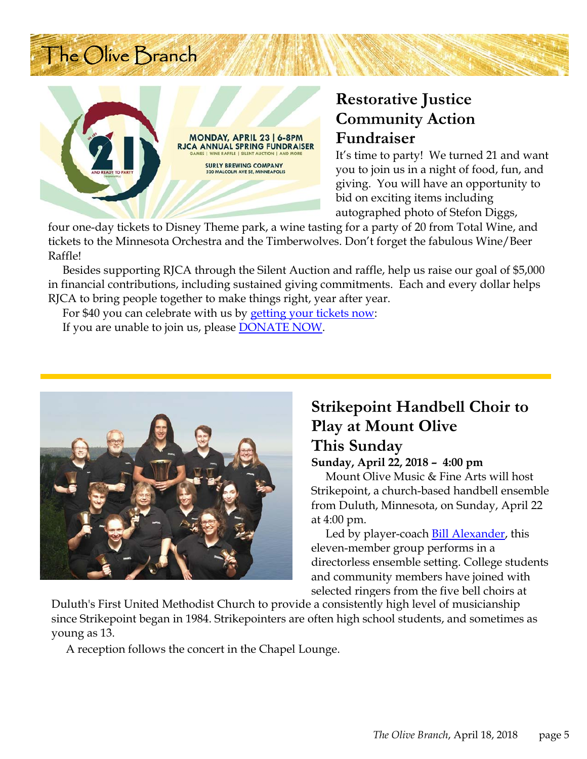# The Olive Branch



# **Restorative Justice Community Action Fundraiser**

It's time to party! We turned 21 and want you to join us in a night of food, fun, and giving. You will have an opportunity to bid on exciting items including autographed photo of Stefon Diggs,

four one-day tickets to Disney Theme park, a wine tasting for a party of 20 from Total Wine, and tickets to the Minnesota Orchestra and the Timberwolves. Don't forget the fabulous Wine/Beer Raffle!

 Besides supporting RJCA through the Silent Auction and raffle, help us raise our goal of \$5,000 in financial contributions, including sustained giving commitments. Each and every dollar helps RJCA to bring people together to make things right, year after year.

For \$40 you can celebrate with us by getting your tickets now:

If you are unable to join us, please DONATE NOW.



# **Strikepoint Handbell Choir to Play at Mount Olive This Sunday**

#### **Sunday, April 22, 2018 – 4:00 pm**

 Mount Olive Music & Fine Arts will host Strikepoint, a church-based handbell ensemble from Duluth, Minnesota, on Sunday, April 22 at 4:00 pm.

 Led by player-coach Bill Alexander, this eleven-member group performs in a directorless ensemble setting. College students and community members have joined with selected ringers from the five bell choirs at

Duluth's First United Methodist Church to provide a consistently high level of musicianship since Strikepoint began in 1984. Strikepointers are often high school students, and sometimes as young as 13.

A reception follows the concert in the Chapel Lounge.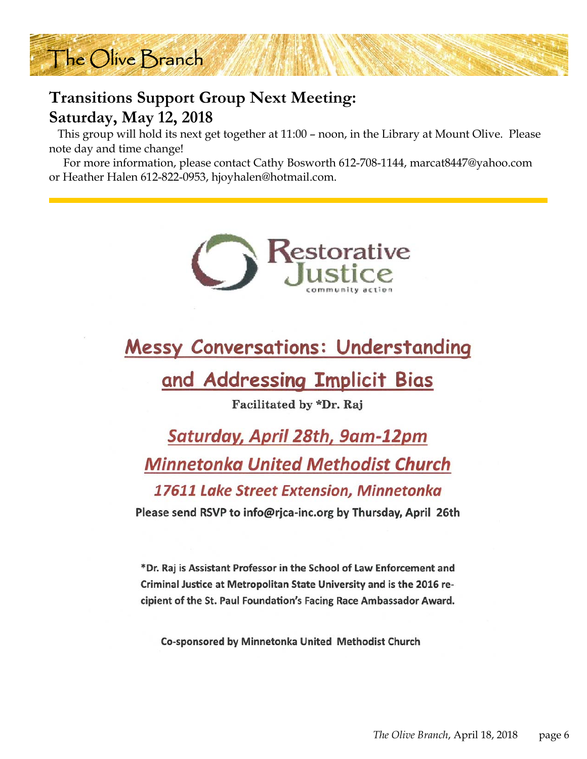

# **Transitions Support Group Next Meeting: Saturday, May 12, 2018**

 This group will hold its next get together at 11:00 – noon, in the Library at Mount Olive. Please note day and time change!

 For more information, please contact Cathy Bosworth 612-708-1144, marcat8447@yahoo.com or Heather Halen 612-822-0953, hjoyhalen@hotmail.com.



# **Messy Conversations: Understanding**

# and Addressing Implicit Bias

Facilitated by \*Dr. Raj

Saturday, April 28th, 9am-12pm **Minnetonka United Methodist Church** 17611 Lake Street Extension, Minnetonka Please send RSVP to info@rjca-inc.org by Thursday, April 26th

\*Dr. Raj is Assistant Professor in the School of Law Enforcement and Criminal Justice at Metropolitan State University and is the 2016 recipient of the St. Paul Foundation's Facing Race Ambassador Award.

**Co-sponsored by Minnetonka United Methodist Church**